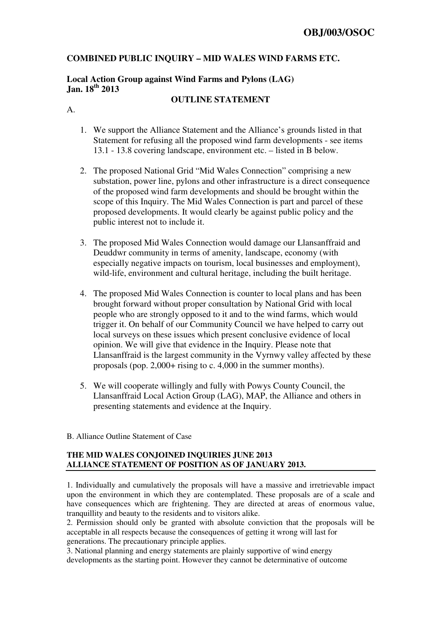## **COMBINED PUBLIC INQUIRY – MID WALES WIND FARMS ETC.**

## **Local Action Group against Wind Farms and Pylons (LAG) Jan. 18th 2013**

## **OUTLINE STATEMENT**

A.

- 1. We support the Alliance Statement and the Alliance's grounds listed in that Statement for refusing all the proposed wind farm developments - see items 13.1 - 13.8 covering landscape, environment etc. – listed in B below.
- 2. The proposed National Grid "Mid Wales Connection" comprising a new substation, power line, pylons and other infrastructure is a direct consequence of the proposed wind farm developments and should be brought within the scope of this Inquiry. The Mid Wales Connection is part and parcel of these proposed developments. It would clearly be against public policy and the public interest not to include it.
- 3. The proposed Mid Wales Connection would damage our Llansanffraid and Deuddwr community in terms of amenity, landscape, economy (with especially negative impacts on tourism, local businesses and employment), wild-life, environment and cultural heritage, including the built heritage.
- 4. The proposed Mid Wales Connection is counter to local plans and has been brought forward without proper consultation by National Grid with local people who are strongly opposed to it and to the wind farms, which would trigger it. On behalf of our Community Council we have helped to carry out local surveys on these issues which present conclusive evidence of local opinion. We will give that evidence in the Inquiry. Please note that Llansanffraid is the largest community in the Vyrnwy valley affected by these proposals (pop. 2,000+ rising to c. 4,000 in the summer months).
- 5. We will cooperate willingly and fully with Powys County Council, the Llansanffraid Local Action Group (LAG), MAP, the Alliance and others in presenting statements and evidence at the Inquiry.
- B. Alliance Outline Statement of Case

## **THE MID WALES CONJOINED INQUIRIES JUNE 2013 ALLIANCE STATEMENT OF POSITION AS OF JANUARY 2013.**

1. Individually and cumulatively the proposals will have a massive and irretrievable impact upon the environment in which they are contemplated. These proposals are of a scale and have consequences which are frightening. They are directed at areas of enormous value, tranquillity and beauty to the residents and to visitors alike.

2. Permission should only be granted with absolute conviction that the proposals will be acceptable in all respects because the consequences of getting it wrong will last for generations. The precautionary principle applies.

3. National planning and energy statements are plainly supportive of wind energy developments as the starting point. However they cannot be determinative of outcome